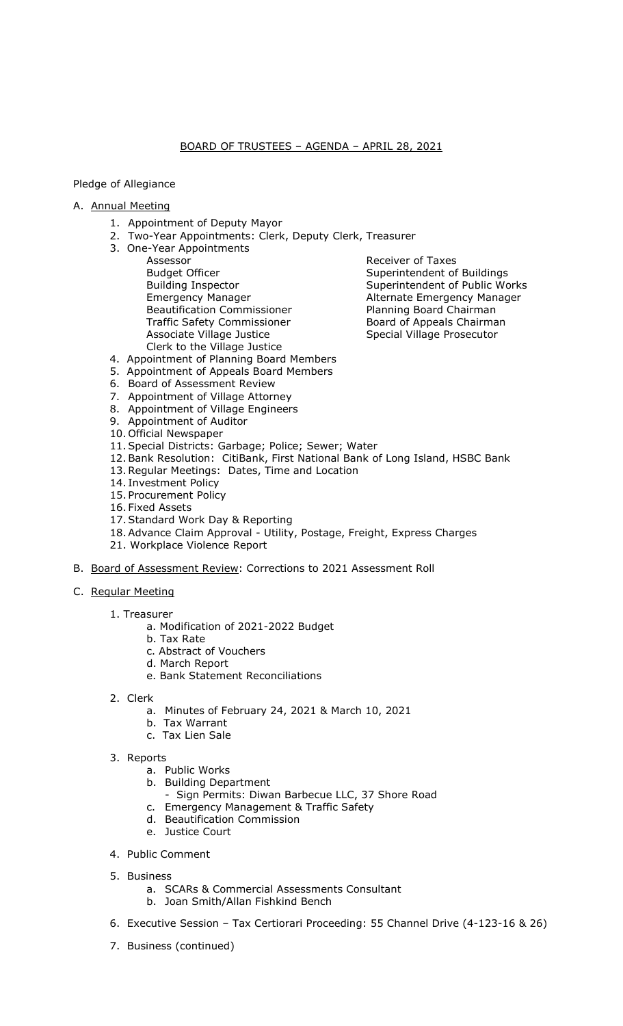## BOARD OF TRUSTEES – AGENDA – APRIL 28, 2021

## Pledge of Allegiance

## A. Annual Meeting

- 1. Appointment of Deputy Mayor
- 2. Two-Year Appointments: Clerk, Deputy Clerk, Treasurer
- 3. One-Year Appointments
	- Assessor Manuel Community Receiver of Taxes<br>
	Budget Officer Manuel Community Superintendent of Budget Officer Superintendent of Buildings<br>Building Inspector Superintendent of Public Wo Beautification Commissioner **Planning Board Chairman** Traffic Safety Commissioner **Board of Appeals Chairman** Associate Village Justice Special Village Prosecutor Clerk to the Village Justice

Superintendent of Public Works Emergency Manager **Alternate Emergency Manager** 

- 4. Appointment of Planning Board Members
- 5. Appointment of Appeals Board Members
- 6. Board of Assessment Review
- 7. Appointment of Village Attorney
- 8. Appointment of Village Engineers
- 9. Appointment of Auditor
- 10. Official Newspaper
- 11.Special Districts: Garbage; Police; Sewer; Water
- 12.Bank Resolution: CitiBank, First National Bank of Long Island, HSBC Bank
- 13.Regular Meetings: Dates, Time and Location
- 14. Investment Policy
- 15. Procurement Policy
- 16. Fixed Assets
- 17.Standard Work Day & Reporting
- 18.Advance Claim Approval Utility, Postage, Freight, Express Charges
- 21. Workplace Violence Report
- B. Board of Assessment Review: Corrections to 2021 Assessment Roll
- C. Regular Meeting

## 1. Treasurer

- a. Modification of 2021-2022 Budget
- b. Tax Rate
- c. Abstract of Vouchers
- d. March Report
- e. Bank Statement Reconciliations
- 2. Clerk
	- a. Minutes of February 24, 2021 & March 10, 2021
	- b. Tax Warrant
	- c. Tax Lien Sale
- 3. Reports
	- a. Public Works
	- b. Building Department
		- Sign Permits: Diwan Barbecue LLC, 37 Shore Road
	- c. Emergency Management & Traffic Safety
	- d. Beautification Commission
	- e. Justice Court
- 4. Public Comment
- 5. Business
	- a. SCARs & Commercial Assessments Consultant
	- b. Joan Smith/Allan Fishkind Bench
- 6. Executive Session Tax Certiorari Proceeding: 55 Channel Drive (4-123-16 & 26)
- 7. Business (continued)